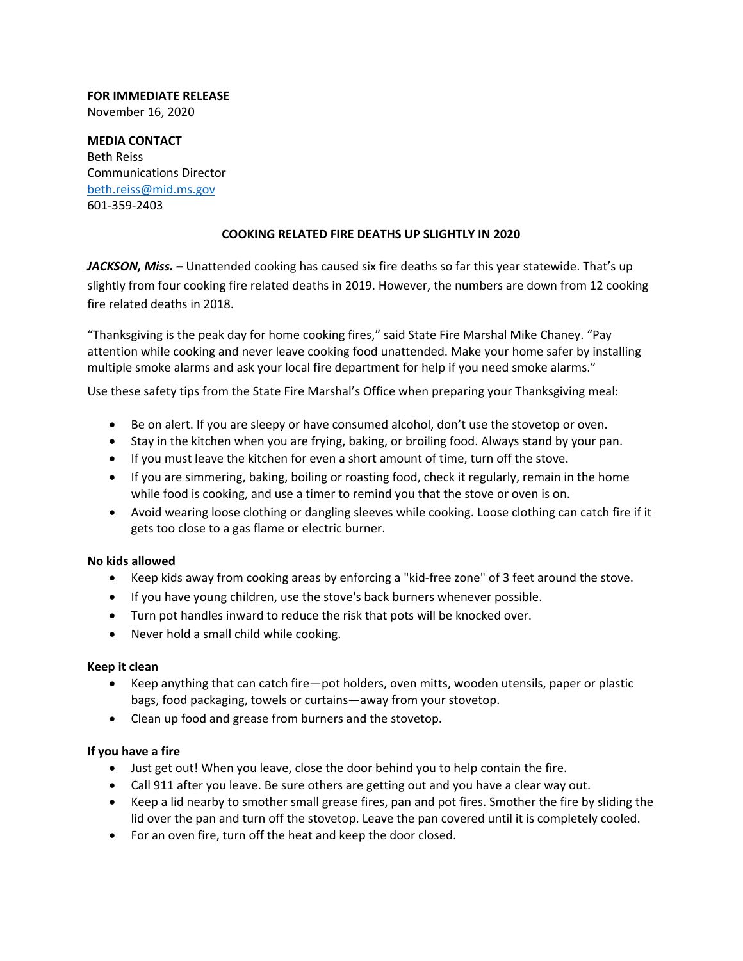# **FOR IMMEDIATE RELEASE**

November 16, 2020

**MEDIA CONTACT**  Beth Reiss Communications Director beth.reiss@mid.ms.gov 601‐359‐2403

## **COOKING RELATED FIRE DEATHS UP SLIGHTLY IN 2020**

JACKSON, Miss. - Unattended cooking has caused six fire deaths so far this year statewide. That's up slightly from four cooking fire related deaths in 2019. However, the numbers are down from 12 cooking fire related deaths in 2018.

"Thanksgiving is the peak day for home cooking fires," said State Fire Marshal Mike Chaney. "Pay attention while cooking and never leave cooking food unattended. Make your home safer by installing multiple smoke alarms and ask your local fire department for help if you need smoke alarms."

Use these safety tips from the State Fire Marshal's Office when preparing your Thanksgiving meal:

- Be on alert. If you are sleepy or have consumed alcohol, don't use the stovetop or oven.
- Stay in the kitchen when you are frying, baking, or broiling food. Always stand by your pan.
- If you must leave the kitchen for even a short amount of time, turn off the stove.
- If you are simmering, baking, boiling or roasting food, check it regularly, remain in the home while food is cooking, and use a timer to remind you that the stove or oven is on.
- Avoid wearing loose clothing or dangling sleeves while cooking. Loose clothing can catch fire if it gets too close to a gas flame or electric burner.

### **No kids allowed**

- Keep kids away from cooking areas by enforcing a "kid-free zone" of 3 feet around the stove.
- If you have young children, use the stove's back burners whenever possible.
- Turn pot handles inward to reduce the risk that pots will be knocked over.
- Never hold a small child while cooking.

### **Keep it clean**

- Keep anything that can catch fire—pot holders, oven mitts, wooden utensils, paper or plastic bags, food packaging, towels or curtains—away from your stovetop.
- Clean up food and grease from burners and the stovetop.

### **If you have a fire**

- Just get out! When you leave, close the door behind you to help contain the fire.
- Call 911 after you leave. Be sure others are getting out and you have a clear way out.
- Keep a lid nearby to smother small grease fires, pan and pot fires. Smother the fire by sliding the lid over the pan and turn off the stovetop. Leave the pan covered until it is completely cooled.
- For an oven fire, turn off the heat and keep the door closed.